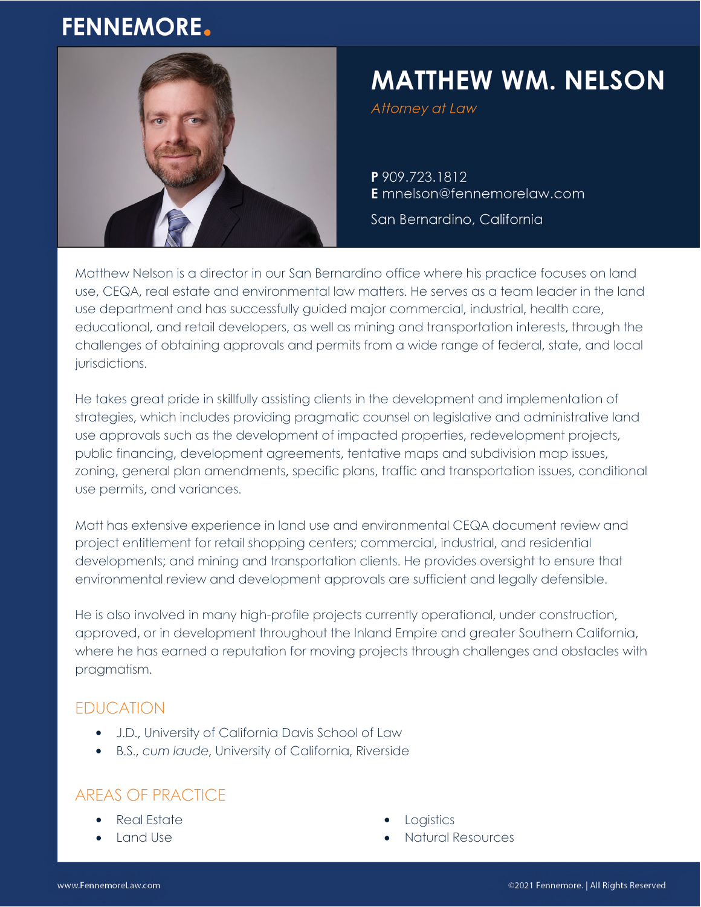## **FENNEMORE.**



# **MATTHEW WM. NELSON**

Attorney at Law

P 909.723.1812 E mnelson@fennemorelaw.com

San Bernardino, California

Matthew Nelson is a director in our San Bernardino office where his practice focuses on land use, CEQA, real estate and environmental law matters. He serves as a team leader in the land use department and has successfully guided major commercial, industrial, health care, educational, and retail developers, as well as mining and transportation interests, through the challenges of obtaining approvals and permits from a wide range of federal, state, and local jurisdictions.

He takes great pride in skillfully assisting clients in the development and implementation of strategies, which includes providing pragmatic counsel on legislative and administrative land use approvals such as the development of impacted properties, redevelopment projects, public financing, development agreements, tentative maps and subdivision map issues, zoning, general plan amendments, specific plans, traffic and transportation issues, conditional use permits, and variances.

Matt has extensive experience in land use and environmental CEQA document review and project entitlement for retail shopping centers; commercial, industrial, and residential developments; and mining and transportation clients. He provides oversight to ensure that environmental review and development approvals are sufficient and legally defensible.

He is also involved in many high-profile projects currently operational, under construction, approved, or in development throughout the Inland Empire and greater Southern California, where he has earned a reputation for moving projects through challenges and obstacles with pragmatism.

## EDUCATION

- J.D., University of California Davis School of Law
- B.S., *cum laude*, University of California, Riverside

## AREAS OF PRACTICE

- Real Estate
- Land Use
- Logistics
- Natural Resources